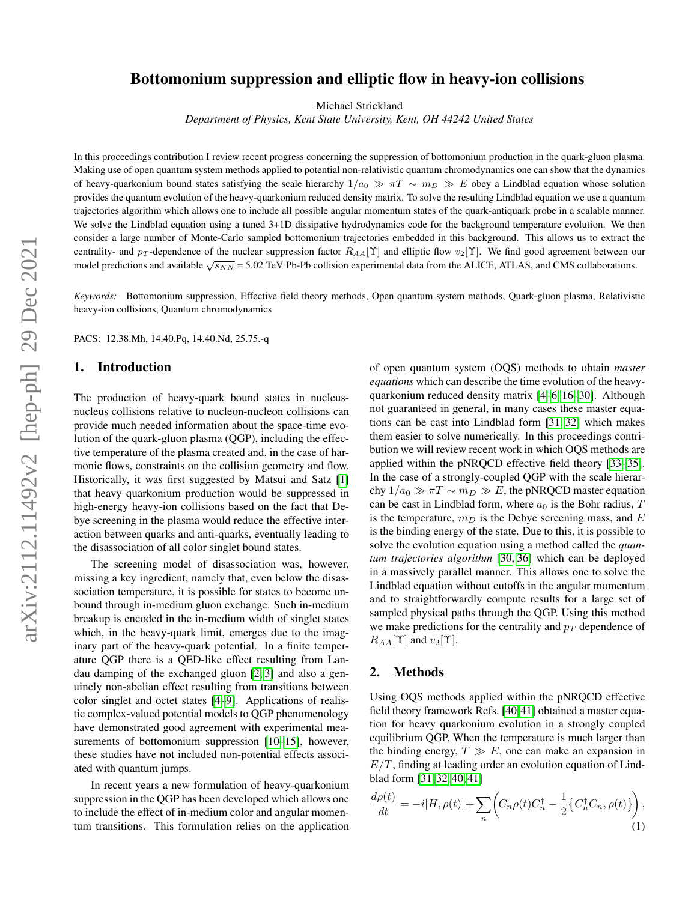# Bottomonium suppression and elliptic flow in heavy-ion collisions

Michael Strickland

*Department of Physics, Kent State University, Kent, OH 44242 United States*

In this proceedings contribution I review recent progress concerning the suppression of bottomonium production in the quark-gluon plasma. Making use of open quantum system methods applied to potential non-relativistic quantum chromodynamics one can show that the dynamics of heavy-quarkonium bound states satisfying the scale hierarchy  $1/a_0 \gg \pi T \sim m_D \gg E$  obey a Lindblad equation whose solution provides the quantum evolution of the heavy-quarkonium reduced density matrix. To solve the resulting Lindblad equation we use a quantum trajectories algorithm which allows one to include all possible angular momentum states of the quark-antiquark probe in a scalable manner. We solve the Lindblad equation using a tuned 3+1D dissipative hydrodynamics code for the background temperature evolution. We then consider a large number of Monte-Carlo sampled bottomonium trajectories embedded in this background. This allows us to extract the centrality- and  $p_T$ -dependence of the nuclear suppression factor  $R_{AA}[\Upsilon]$  and elliptic flow  $v_2[\Upsilon]$ . We find good agreement between our model predictions and available  $\sqrt{s_{NN}}$  = 5.02 TeV Pb-Pb collision experimental data from the ALICE, ATLAS, and CMS collaborations.

*Keywords:* Bottomonium suppression, Effective field theory methods, Open quantum system methods, Quark-gluon plasma, Relativistic heavy-ion collisions, Quantum chromodynamics

PACS: 12.38.Mh, 14.40.Pq, 14.40.Nd, 25.75.-q

### 1. Introduction

The production of heavy-quark bound states in nucleusnucleus collisions relative to nucleon-nucleon collisions can provide much needed information about the space-time evolution of the quark-gluon plasma (QGP), including the effective temperature of the plasma created and, in the case of harmonic flows, constraints on the collision geometry and flow. Historically, it was first suggested by Matsui and Satz [\[1\]](#page-4-0) that heavy quarkonium production would be suppressed in high-energy heavy-ion collisions based on the fact that Debye screening in the plasma would reduce the effective interaction between quarks and anti-quarks, eventually leading to the disassociation of all color singlet bound states.

The screening model of disassociation was, however, missing a key ingredient, namely that, even below the disassociation temperature, it is possible for states to become unbound through in-medium gluon exchange. Such in-medium breakup is encoded in the in-medium width of singlet states which, in the heavy-quark limit, emerges due to the imaginary part of the heavy-quark potential. In a finite temperature QGP there is a QED-like effect resulting from Landau damping of the exchanged gluon [\[2,](#page-4-1) [3\]](#page-4-2) and also a genuinely non-abelian effect resulting from transitions between color singlet and octet states [\[4–](#page-4-3)[9\]](#page-4-4). Applications of realistic complex-valued potential models to QGP phenomenology have demonstrated good agreement with experimental measurements of bottomonium suppression [\[10](#page-4-5)[–15\]](#page-4-6), however, these studies have not included non-potential effects associated with quantum jumps.

In recent years a new formulation of heavy-quarkonium suppression in the QGP has been developed which allows one to include the effect of in-medium color and angular momentum transitions. This formulation relies on the application of open quantum system (OQS) methods to obtain *master equations* which can describe the time evolution of the heavyquarkonium reduced density matrix [\[4–](#page-4-3)[6,](#page-4-7) [16–](#page-4-8)[30\]](#page-4-9). Although not guaranteed in general, in many cases these master equations can be cast into Lindblad form [\[31,](#page-4-10) [32\]](#page-4-11) which makes them easier to solve numerically. In this proceedings contribution we will review recent work in which OQS methods are applied within the pNRQCD effective field theory [\[33](#page-4-12)[–35\]](#page-4-13). In the case of a strongly-coupled QGP with the scale hierarchy  $1/a_0 \gg \pi T \sim m_D \gg E$ , the pNRQCD master equation can be cast in Lindblad form, where  $a_0$  is the Bohr radius,  $T$ is the temperature,  $m_D$  is the Debye screening mass, and  $E$ is the binding energy of the state. Due to this, it is possible to solve the evolution equation using a method called the *quantum trajectories algorithm* [\[30,](#page-4-9) [36\]](#page-5-0) which can be deployed in a massively parallel manner. This allows one to solve the Lindblad equation without cutoffs in the angular momentum and to straightforwardly compute results for a large set of sampled physical paths through the QGP. Using this method we make predictions for the centrality and  $p_T$  dependence of  $R_{AA}[\Upsilon]$  and  $v_2[\Upsilon]$ .

## 2. Methods

Using OQS methods applied within the pNRQCD effective field theory framework Refs. [\[40,](#page-5-1)[41\]](#page-5-2) obtained a master equation for heavy quarkonium evolution in a strongly coupled equilibrium QGP. When the temperature is much larger than the binding energy,  $T \gg E$ , one can make an expansion in  $E/T$ , finding at leading order an evolution equation of Lindblad form [\[31,](#page-4-10) [32,](#page-4-11) [40,](#page-5-1) [41\]](#page-5-2)

<span id="page-0-0"></span>
$$
\frac{d\rho(t)}{dt} = -i[H, \rho(t)] + \sum_{n} \left( C_n \rho(t) C_n^{\dagger} - \frac{1}{2} \{ C_n^{\dagger} C_n, \rho(t) \} \right),\tag{1}
$$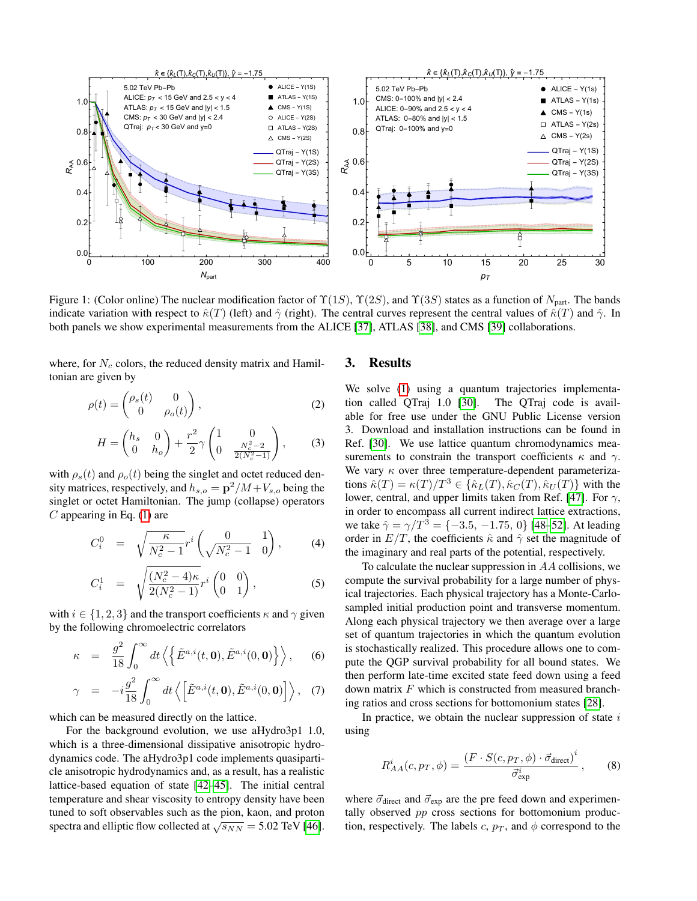

<span id="page-1-0"></span>Figure 1: (Color online) The nuclear modification factor of  $\Upsilon(1S)$ ,  $\Upsilon(2S)$ , and  $\Upsilon(3S)$  states as a function of  $N_{part}$ . The bands indicate variation with respect to  $\hat{\kappa}(T)$  (left) and  $\hat{\gamma}$  (right). The central curves represent the central values of  $\hat{\kappa}(T)$  and  $\hat{\gamma}$ . In both panels we show experimental measurements from the ALICE [\[37\]](#page-5-3), ATLAS [\[38\]](#page-5-4), and CMS [\[39\]](#page-5-5) collaborations.

where, for  $N_c$  colors, the reduced density matrix and Hamiltonian are given by

$$
\rho(t) = \begin{pmatrix} \rho_s(t) & 0\\ 0 & \rho_o(t) \end{pmatrix},\tag{2}
$$

$$
H = \begin{pmatrix} h_s & 0 \\ 0 & h_o \end{pmatrix} + \frac{r^2}{2} \gamma \begin{pmatrix} 1 & 0 \\ 0 & \frac{N_c^2 - 2}{2(N_c^2 - 1)} \end{pmatrix},
$$
 (3)

with  $\rho_s(t)$  and  $\rho_o(t)$  being the singlet and octet reduced density matrices, respectively, and  $h_{s,o} = \mathbf{p}^2/M + V_{s,o}$  being the singlet or octet Hamiltonian. The jump (collapse) operators  $C$  appearing in Eq. [\(1\)](#page-0-0) are

$$
C_i^0 = \sqrt{\frac{\kappa}{N_c^2 - 1}} r^i \left( \frac{0}{\sqrt{N_c^2 - 1}} \right), \quad (4)
$$

$$
C_i^1 = \sqrt{\frac{(N_c^2 - 4)\kappa}{2(N_c^2 - 1)}} r^i \begin{pmatrix} 0 & 0 \\ 0 & 1 \end{pmatrix},
$$
 (5)

with  $i \in \{1, 2, 3\}$  and the transport coefficients  $\kappa$  and  $\gamma$  given by the following chromoelectric correlators

$$
\kappa = \frac{g^2}{18} \int_0^\infty dt \left\langle \left\{ \tilde{E}^{a,i}(t,0), \tilde{E}^{a,i}(0,0) \right\} \right\rangle, \quad (6)
$$

$$
\gamma = -i\frac{g^2}{18} \int_0^\infty dt \left\langle \left[ \tilde{E}^{a,i}(t, \mathbf{0}), \tilde{E}^{a,i}(0, \mathbf{0}) \right] \right\rangle, (7)
$$

which can be measured directly on the lattice.

For the background evolution, we use aHydro3p1 1.0, which is a three-dimensional dissipative anisotropic hydrodynamics code. The aHydro3p1 code implements quasiparticle anisotropic hydrodynamics and, as a result, has a realistic lattice-based equation of state [\[42](#page-5-6)[–45\]](#page-5-7). The initial central temperature and shear viscosity to entropy density have been tuned to soft observables such as the pion, kaon, and proton spectra and elliptic flow collected at  $\sqrt{s_{NN}}$  = 5.02 TeV [\[46\]](#page-5-8).

#### 3. Results

We solve [\(1\)](#page-0-0) using a quantum trajectories implementation called QTraj 1.0 [\[30\]](#page-4-9). The QTraj code is available for free use under the GNU Public License version 3. Download and installation instructions can be found in Ref. [\[30\]](#page-4-9). We use lattice quantum chromodynamics measurements to constrain the transport coefficients  $\kappa$  and  $\gamma$ . We vary  $\kappa$  over three temperature-dependent parameterizations  $\hat{\kappa}(T) = \kappa(T)/T^3 \in {\hat{\kappa}_L(T), \hat{\kappa}_C(T), \hat{\kappa}_U(T)}$  with the lower, central, and upper limits taken from Ref. [\[47\]](#page-5-9). For  $\gamma$ , in order to encompass all current indirect lattice extractions, we take  $\hat{\gamma} = \gamma/T^3 = \{-3.5, -1.75, 0\}$  [\[48–](#page-5-10)[52\]](#page-5-11). At leading order in  $E/T$ , the coefficients  $\hat{\kappa}$  and  $\hat{\gamma}$  set the magnitude of the imaginary and real parts of the potential, respectively.

To calculate the nuclear suppression in AA collisions, we compute the survival probability for a large number of physical trajectories. Each physical trajectory has a Monte-Carlosampled initial production point and transverse momentum. Along each physical trajectory we then average over a large set of quantum trajectories in which the quantum evolution is stochastically realized. This procedure allows one to compute the QGP survival probability for all bound states. We then perform late-time excited state feed down using a feed down matrix  $F$  which is constructed from measured branching ratios and cross sections for bottomonium states [\[28\]](#page-4-14).

In practice, we obtain the nuclear suppression of state  $i$ using

$$
R_{AA}^{i}(c, p_T, \phi) = \frac{(F \cdot S(c, p_T, \phi) \cdot \vec{\sigma}_{\text{direct}})^{i}}{\vec{\sigma}_{\text{exp}}^{i}}, \quad (8)
$$

where  $\vec{\sigma}_{\text{direct}}$  and  $\vec{\sigma}_{\text{exp}}$  are the pre feed down and experimentally observed pp cross sections for bottomonium production, respectively. The labels c,  $p_T$ , and  $\phi$  correspond to the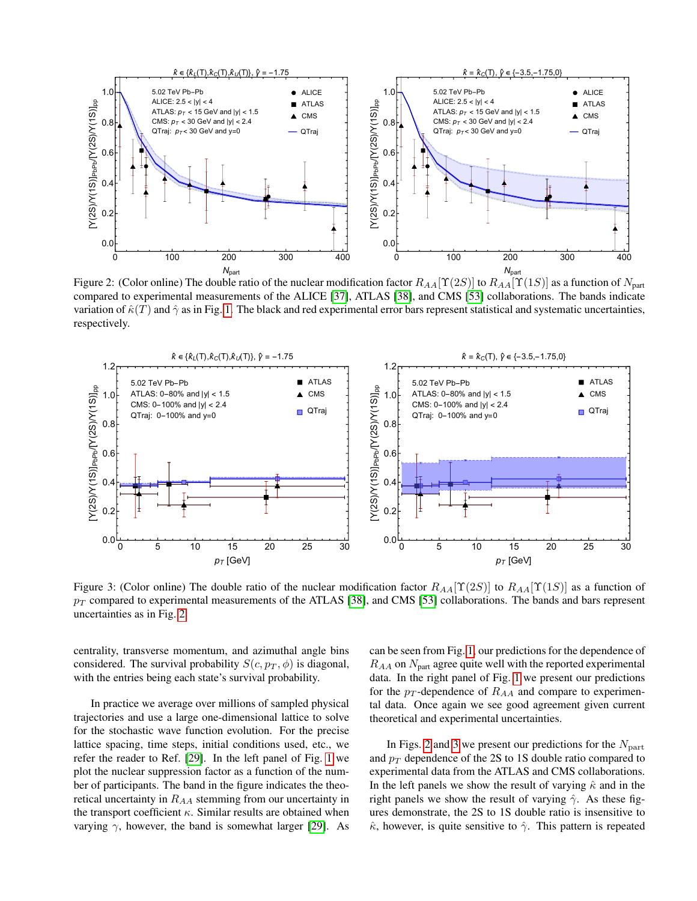

<span id="page-2-0"></span>Figure 2: (Color online) The double ratio of the nuclear modification factor  $R_{AA}[\Upsilon(2S)]$  to  $R_{AA}[\Upsilon(1S)]$  as a function of  $N_{part}$ compared to experimental measurements of the ALICE [\[37\]](#page-5-3), ATLAS [\[38\]](#page-5-4), and CMS [\[53\]](#page-5-12) collaborations. The bands indicate variation of  $\hat{\kappa}(T)$  and  $\hat{\gamma}$  as in Fig. [1.](#page-1-0) The black and red experimental error bars represent statistical and systematic uncertainties, respectively.



<span id="page-2-1"></span>Figure 3: (Color online) The double ratio of the nuclear modification factor  $R_{AA}[\Upsilon(2S)]$  to  $R_{AA}[\Upsilon(1S)]$  as a function of  $p_T$  compared to experimental measurements of the ATLAS [\[38\]](#page-5-4), and CMS [\[53\]](#page-5-12) collaborations. The bands and bars represent uncertainties as in Fig. [2.](#page-2-0)

centrality, transverse momentum, and azimuthal angle bins considered. The survival probability  $S(c, p_T, \phi)$  is diagonal, with the entries being each state's survival probability.

In practice we average over millions of sampled physical trajectories and use a large one-dimensional lattice to solve for the stochastic wave function evolution. For the precise lattice spacing, time steps, initial conditions used, etc., we refer the reader to Ref. [\[29\]](#page-4-15). In the left panel of Fig. [1](#page-1-0) we plot the nuclear suppression factor as a function of the number of participants. The band in the figure indicates the theoretical uncertainty in  $R_{AA}$  stemming from our uncertainty in the transport coefficient  $\kappa$ . Similar results are obtained when varying  $\gamma$ , however, the band is somewhat larger [\[29\]](#page-4-15). As

can be seen from Fig. [1,](#page-1-0) our predictions for the dependence of  $R_{AA}$  on  $N_{part}$  agree quite well with the reported experimental data. In the right panel of Fig. [1](#page-1-0) we present our predictions for the  $p_T$ -dependence of  $R_{AA}$  and compare to experimental data. Once again we see good agreement given current theoretical and experimental uncertainties.

In Figs. [2](#page-2-0) and [3](#page-2-1) we present our predictions for the  $N_{part}$ and  $p_T$  dependence of the 2S to 1S double ratio compared to experimental data from the ATLAS and CMS collaborations. In the left panels we show the result of varying  $\hat{\kappa}$  and in the right panels we show the result of varying  $\hat{\gamma}$ . As these figures demonstrate, the 2S to 1S double ratio is insensitive to  $\hat{\kappa}$ , however, is quite sensitive to  $\hat{\gamma}$ . This pattern is repeated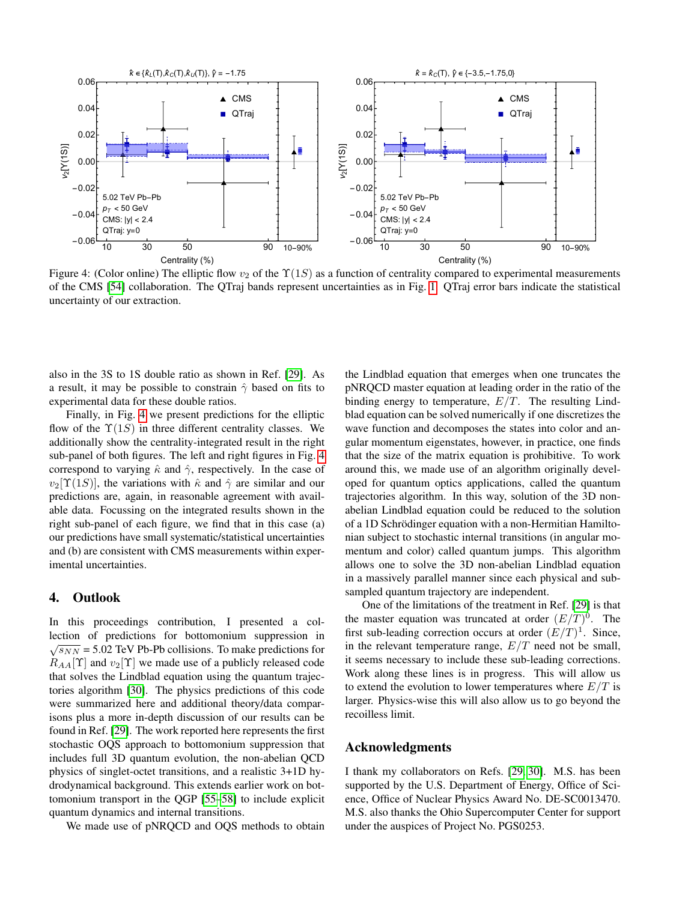

<span id="page-3-0"></span>Figure 4: (Color online) The elliptic flow  $v_2$  of the  $\Upsilon(1S)$  as a function of centrality compared to experimental measurements of the CMS [\[54\]](#page-5-13) collaboration. The QTraj bands represent uncertainties as in Fig. [1.](#page-1-0) QTraj error bars indicate the statistical uncertainty of our extraction.

also in the 3S to 1S double ratio as shown in Ref. [\[29\]](#page-4-15). As a result, it may be possible to constrain  $\hat{\gamma}$  based on fits to experimental data for these double ratios.

Finally, in Fig. [4](#page-3-0) we present predictions for the elliptic flow of the  $\Upsilon(1S)$  in three different centrality classes. We additionally show the centrality-integrated result in the right sub-panel of both figures. The left and right figures in Fig. [4](#page-3-0) correspond to varying  $\hat{\kappa}$  and  $\hat{\gamma}$ , respectively. In the case of  $v_2[\Upsilon(1S)]$ , the variations with  $\hat{\kappa}$  and  $\hat{\gamma}$  are similar and our predictions are, again, in reasonable agreement with available data. Focussing on the integrated results shown in the right sub-panel of each figure, we find that in this case (a) our predictions have small systematic/statistical uncertainties and (b) are consistent with CMS measurements within experimental uncertainties.

## 4. Outlook

In this proceedings contribution, I presented a collection of predictions for bottomonium suppression in  $\sqrt{s_{NN}}$  = 5.02 TeV Pb-Pb collisions. To make predictions for  $R_{AA}[\Upsilon]$  and  $v_2[\Upsilon]$  we made use of a publicly released code that solves the Lindblad equation using the quantum trajectories algorithm [\[30\]](#page-4-9). The physics predictions of this code were summarized here and additional theory/data comparisons plus a more in-depth discussion of our results can be found in Ref. [\[29\]](#page-4-15). The work reported here represents the first stochastic OQS approach to bottomonium suppression that includes full 3D quantum evolution, the non-abelian QCD physics of singlet-octet transitions, and a realistic 3+1D hydrodynamical background. This extends earlier work on bottomonium transport in the QGP [\[55–](#page-5-14)[58\]](#page-5-15) to include explicit quantum dynamics and internal transitions.

We made use of pNRQCD and OQS methods to obtain

the Lindblad equation that emerges when one truncates the pNRQCD master equation at leading order in the ratio of the binding energy to temperature,  $E/T$ . The resulting Lindblad equation can be solved numerically if one discretizes the wave function and decomposes the states into color and angular momentum eigenstates, however, in practice, one finds that the size of the matrix equation is prohibitive. To work around this, we made use of an algorithm originally developed for quantum optics applications, called the quantum trajectories algorithm. In this way, solution of the 3D nonabelian Lindblad equation could be reduced to the solution of a 1D Schrödinger equation with a non-Hermitian Hamiltonian subject to stochastic internal transitions (in angular momentum and color) called quantum jumps. This algorithm allows one to solve the 3D non-abelian Lindblad equation in a massively parallel manner since each physical and subsampled quantum trajectory are independent.

One of the limitations of the treatment in Ref. [\[29\]](#page-4-15) is that the master equation was truncated at order  $(E/T)^0$ . The first sub-leading correction occurs at order  $(E/T)^1$ . Since, in the relevant temperature range,  $E/T$  need not be small, it seems necessary to include these sub-leading corrections. Work along these lines is in progress. This will allow us to extend the evolution to lower temperatures where  $E/T$  is larger. Physics-wise this will also allow us to go beyond the recoilless limit.

#### Acknowledgments

I thank my collaborators on Refs. [\[29,](#page-4-15) [30\]](#page-4-9). M.S. has been supported by the U.S. Department of Energy, Office of Science, Office of Nuclear Physics Award No. DE-SC0013470. M.S. also thanks the Ohio Supercomputer Center for support under the auspices of Project No. PGS0253.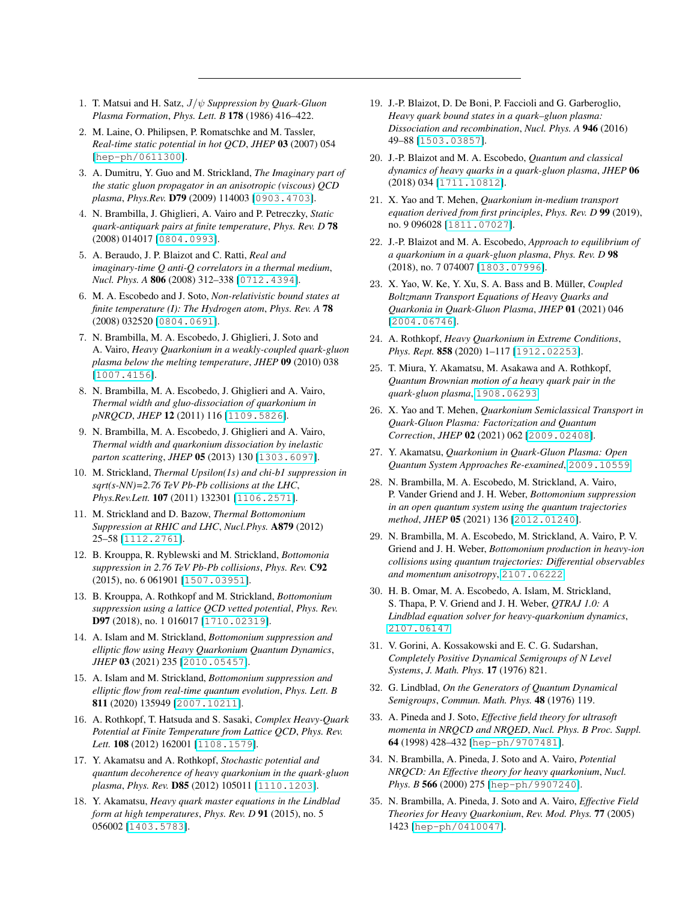- <span id="page-4-0"></span>1. T. Matsui and H. Satz, J/ψ *Suppression by Quark-Gluon Plasma Formation*, *Phys. Lett. B* 178 (1986) 416–422.
- <span id="page-4-1"></span>2. M. Laine, O. Philipsen, P. Romatschke and M. Tassler, *Real-time static potential in hot QCD*, *JHEP* 03 (2007) 054 [[hep-ph/0611300](http://arXiv.org/abs/hep-ph/0611300)].
- <span id="page-4-2"></span>3. A. Dumitru, Y. Guo and M. Strickland, *The Imaginary part of the static gluon propagator in an anisotropic (viscous) QCD plasma*, *Phys.Rev.* D79 (2009) 114003 [[0903.4703](http://arXiv.org/abs/0903.4703)].
- <span id="page-4-3"></span>4. N. Brambilla, J. Ghiglieri, A. Vairo and P. Petreczky, *Static quark-antiquark pairs at finite temperature*, *Phys. Rev. D* 78 (2008) 014017 [[0804.0993](http://arXiv.org/abs/0804.0993)].
- 5. A. Beraudo, J. P. Blaizot and C. Ratti, *Real and imaginary-time Q anti-Q correlators in a thermal medium*, *Nucl. Phys. A* 806 (2008) 312–338 [[0712.4394](http://arXiv.org/abs/0712.4394)].
- <span id="page-4-7"></span>6. M. A. Escobedo and J. Soto, *Non-relativistic bound states at finite temperature (I): The Hydrogen atom*, *Phys. Rev. A* 78 (2008) 032520 [[0804.0691](http://arXiv.org/abs/0804.0691)].
- 7. N. Brambilla, M. A. Escobedo, J. Ghiglieri, J. Soto and A. Vairo, *Heavy Quarkonium in a weakly-coupled quark-gluon plasma below the melting temperature*, *JHEP* 09 (2010) 038 [[1007.4156](http://arXiv.org/abs/1007.4156)].
- 8. N. Brambilla, M. A. Escobedo, J. Ghiglieri and A. Vairo, *Thermal width and gluo-dissociation of quarkonium in pNRQCD*, *JHEP* 12 (2011) 116 [[1109.5826](http://arXiv.org/abs/1109.5826)].
- <span id="page-4-4"></span>9. N. Brambilla, M. A. Escobedo, J. Ghiglieri and A. Vairo, *Thermal width and quarkonium dissociation by inelastic parton scattering*, *JHEP* 05 (2013) 130 [[1303.6097](http://arXiv.org/abs/1303.6097)].
- <span id="page-4-5"></span>10. M. Strickland, *Thermal Upsilon(1s) and chi-b1 suppression in sqrt(s-NN)=2.76 TeV Pb-Pb collisions at the LHC*, *Phys.Rev.Lett.* 107 (2011) 132301 [[1106.2571](http://arXiv.org/abs/1106.2571)].
- 11. M. Strickland and D. Bazow, *Thermal Bottomonium Suppression at RHIC and LHC*, *Nucl.Phys.* A879 (2012) 25–58 [[1112.2761](http://arXiv.org/abs/1112.2761)].
- 12. B. Krouppa, R. Ryblewski and M. Strickland, *Bottomonia suppression in 2.76 TeV Pb-Pb collisions*, *Phys. Rev.* C92 (2015), no. 6 061901 [[1507.03951](http://arXiv.org/abs/1507.03951)].
- 13. B. Krouppa, A. Rothkopf and M. Strickland, *Bottomonium suppression using a lattice QCD vetted potential*, *Phys. Rev.* D97 (2018), no. 1 016017 [[1710.02319](http://arXiv.org/abs/1710.02319)].
- 14. A. Islam and M. Strickland, *Bottomonium suppression and elliptic flow using Heavy Quarkonium Quantum Dynamics*, *JHEP* 03 (2021) 235 [[2010.05457](http://arXiv.org/abs/2010.05457)].
- <span id="page-4-6"></span>15. A. Islam and M. Strickland, *Bottomonium suppression and elliptic flow from real-time quantum evolution*, *Phys. Lett. B* 811 (2020) 135949 [[2007.10211](http://arXiv.org/abs/2007.10211)].
- <span id="page-4-8"></span>16. A. Rothkopf, T. Hatsuda and S. Sasaki, *Complex Heavy-Quark Potential at Finite Temperature from Lattice QCD*, *Phys. Rev. Lett.* 108 (2012) 162001 [[1108.1579](http://arXiv.org/abs/1108.1579)].
- 17. Y. Akamatsu and A. Rothkopf, *Stochastic potential and quantum decoherence of heavy quarkonium in the quark-gluon plasma*, *Phys. Rev.* D85 (2012) 105011 [[1110.1203](http://arXiv.org/abs/1110.1203)].
- 18. Y. Akamatsu, *Heavy quark master equations in the Lindblad form at high temperatures*, *Phys. Rev. D* 91 (2015), no. 5 056002 [[1403.5783](http://arXiv.org/abs/1403.5783)].
- 19. J.-P. Blaizot, D. De Boni, P. Faccioli and G. Garberoglio, *Heavy quark bound states in a quark–gluon plasma: Dissociation and recombination*, *Nucl. Phys. A* 946 (2016) 49–88 [[1503.03857](http://arXiv.org/abs/1503.03857)].
- 20. J.-P. Blaizot and M. A. Escobedo, *Quantum and classical dynamics of heavy quarks in a quark-gluon plasma*, *JHEP* 06 (2018) 034 [[1711.10812](http://arXiv.org/abs/1711.10812)].
- 21. X. Yao and T. Mehen, *Quarkonium in-medium transport equation derived from first principles*, *Phys. Rev. D* 99 (2019), no. 9 096028 [[1811.07027](http://arXiv.org/abs/1811.07027)].
- 22. J.-P. Blaizot and M. A. Escobedo, *Approach to equilibrium of a quarkonium in a quark-gluon plasma*, *Phys. Rev. D* 98 (2018), no. 7 074007 [[1803.07996](http://arXiv.org/abs/1803.07996)].
- 23. X. Yao, W. Ke, Y. Xu, S. A. Bass and B. Müller, *Coupled Boltzmann Transport Equations of Heavy Quarks and Quarkonia in Quark-Gluon Plasma*, *JHEP* 01 (2021) 046 [[2004.06746](http://arXiv.org/abs/2004.06746)].
- 24. A. Rothkopf, *Heavy Quarkonium in Extreme Conditions*, *Phys. Rept.* 858 (2020) 1–117 [[1912.02253](http://arXiv.org/abs/1912.02253)].
- 25. T. Miura, Y. Akamatsu, M. Asakawa and A. Rothkopf, *Quantum Brownian motion of a heavy quark pair in the quark-gluon plasma*, [1908.06293](http://arXiv.org/abs/1908.06293).
- 26. X. Yao and T. Mehen, *Quarkonium Semiclassical Transport in Quark-Gluon Plasma: Factorization and Quantum Correction*, *JHEP* 02 (2021) 062 [[2009.02408](http://arXiv.org/abs/2009.02408)].
- 27. Y. Akamatsu, *Quarkonium in Quark-Gluon Plasma: Open Quantum System Approaches Re-examined*, [2009.10559](http://arXiv.org/abs/2009.10559).
- <span id="page-4-14"></span>28. N. Brambilla, M. A. Escobedo, M. Strickland, A. Vairo, P. Vander Griend and J. H. Weber, *Bottomonium suppression in an open quantum system using the quantum trajectories method*, *JHEP* 05 (2021) 136 [[2012.01240](http://arXiv.org/abs/2012.01240)].
- <span id="page-4-15"></span>29. N. Brambilla, M. A. Escobedo, M. Strickland, A. Vairo, P. V. Griend and J. H. Weber, *Bottomonium production in heavy-ion collisions using quantum trajectories: Differential observables and momentum anisotropy*, [2107.06222](http://arXiv.org/abs/2107.06222).
- <span id="page-4-9"></span>30. H. B. Omar, M. A. Escobedo, A. Islam, M. Strickland, S. Thapa, P. V. Griend and J. H. Weber, *QTRAJ 1.0: A Lindblad equation solver for heavy-quarkonium dynamics*, [2107.06147](http://arXiv.org/abs/2107.06147).
- <span id="page-4-10"></span>31. V. Gorini, A. Kossakowski and E. C. G. Sudarshan, *Completely Positive Dynamical Semigroups of N Level Systems*, *J. Math. Phys.* 17 (1976) 821.
- <span id="page-4-11"></span>32. G. Lindblad, *On the Generators of Quantum Dynamical Semigroups*, *Commun. Math. Phys.* 48 (1976) 119.
- <span id="page-4-12"></span>33. A. Pineda and J. Soto, *Effective field theory for ultrasoft momenta in NRQCD and NRQED*, *Nucl. Phys. B Proc. Suppl.* 64 (1998) 428–432 [[hep-ph/9707481](http://arXiv.org/abs/hep-ph/9707481)].
- 34. N. Brambilla, A. Pineda, J. Soto and A. Vairo, *Potential NRQCD: An Effective theory for heavy quarkonium*, *Nucl. Phys. B* 566 (2000) 275 [[hep-ph/9907240](http://arXiv.org/abs/hep-ph/9907240)].
- <span id="page-4-13"></span>35. N. Brambilla, A. Pineda, J. Soto and A. Vairo, *Effective Field Theories for Heavy Quarkonium*, *Rev. Mod. Phys.* 77 (2005) 1423 [[hep-ph/0410047](http://arXiv.org/abs/hep-ph/0410047)].